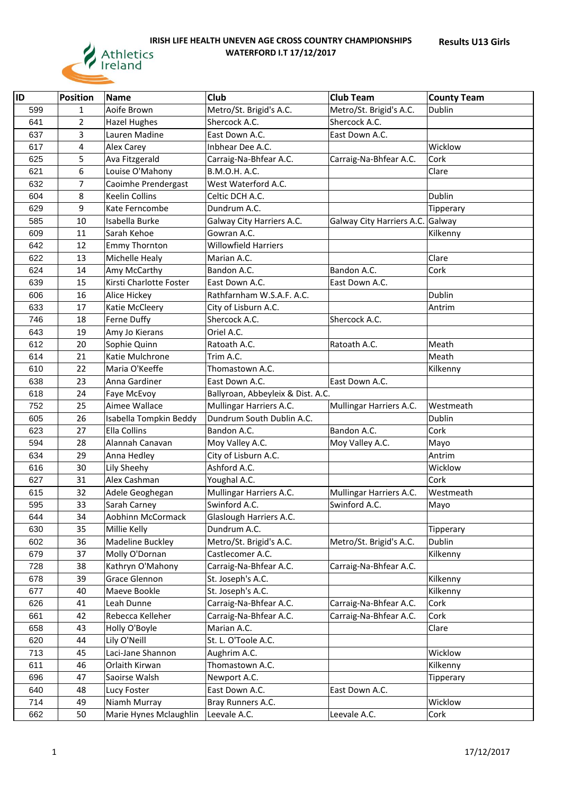

| <b>IID</b> | <b>Position</b> | Name                    | Club                              | <b>Club Team</b>          | <b>County Team</b> |
|------------|-----------------|-------------------------|-----------------------------------|---------------------------|--------------------|
| 599        | 1               | Aoife Brown             | Metro/St. Brigid's A.C.           | Metro/St. Brigid's A.C.   | Dublin             |
| 641        | $\overline{2}$  | <b>Hazel Hughes</b>     | Shercock A.C.                     | Shercock A.C.             |                    |
| 637        | 3               | Lauren Madine           | East Down A.C.                    | East Down A.C.            |                    |
| 617        | 4               | <b>Alex Carey</b>       | Inbhear Dee A.C.                  |                           | Wicklow            |
| 625        | 5               | Ava Fitzgerald          | Carraig-Na-Bhfear A.C.            | Carraig-Na-Bhfear A.C.    | Cork               |
| 621        | 6               | Louise O'Mahony         | B.M.O.H. A.C.                     |                           | Clare              |
| 632        | $\overline{7}$  | Caoimhe Prendergast     | West Waterford A.C.               |                           |                    |
| 604        | 8               | <b>Keelin Collins</b>   | Celtic DCH A.C.                   |                           | Dublin             |
| 629        | 9               | Kate Ferncombe          | Dundrum A.C.                      |                           | Tipperary          |
| 585        | 10              | Isabella Burke          | Galway City Harriers A.C.         | Galway City Harriers A.C. | Galway             |
| 609        | 11              | Sarah Kehoe             | Gowran A.C.                       |                           | Kilkenny           |
| 642        | 12              | <b>Emmy Thornton</b>    | <b>Willowfield Harriers</b>       |                           |                    |
| 622        | 13              | Michelle Healy          | Marian A.C.                       |                           | Clare              |
| 624        | 14              | Amy McCarthy            | Bandon A.C.                       | Bandon A.C.               | Cork               |
| 639        | 15              | Kirsti Charlotte Foster | East Down A.C.                    | East Down A.C.            |                    |
| 606        | 16              | Alice Hickey            | Rathfarnham W.S.A.F. A.C.         |                           | Dublin             |
| 633        | 17              | Katie McCleery          | City of Lisburn A.C.              |                           | Antrim             |
| 746        | 18              | Ferne Duffy             | Shercock A.C.                     | Shercock A.C.             |                    |
| 643        | 19              | Amy Jo Kierans          | Oriel A.C.                        |                           |                    |
| 612        | 20              | Sophie Quinn            | Ratoath A.C.                      | Ratoath A.C.              | Meath              |
| 614        | 21              | Katie Mulchrone         | Trim A.C.                         |                           | Meath              |
| 610        | 22              | Maria O'Keeffe          | Thomastown A.C.                   |                           | Kilkenny           |
| 638        | 23              | Anna Gardiner           | East Down A.C.                    | East Down A.C.            |                    |
| 618        | 24              | Faye McEvoy             | Ballyroan, Abbeyleix & Dist. A.C. |                           |                    |
| 752        | 25              | Aimee Wallace           | Mullingar Harriers A.C.           | Mullingar Harriers A.C.   | Westmeath          |
| 605        | 26              | Isabella Tompkin Beddy  | Dundrum South Dublin A.C.         |                           | Dublin             |
| 623        | 27              | <b>Ella Collins</b>     | Bandon A.C.                       | Bandon A.C.               | Cork               |
| 594        | 28              | Alannah Canavan         | Moy Valley A.C.                   | Moy Valley A.C.           | Mayo               |
| 634        | 29              | Anna Hedley             | City of Lisburn A.C.              |                           | Antrim             |
| 616        | 30              | Lily Sheehy             | Ashford A.C.                      |                           | Wicklow            |
| 627        | 31              | Alex Cashman            | Youghal A.C.                      |                           | Cork               |
| 615        | 32              | Adele Geoghegan         | Mullingar Harriers A.C.           | Mullingar Harriers A.C.   | Westmeath          |
| 595        | 33              | Sarah Carney            | Swinford A.C.                     | Swinford A.C.             | Mayo               |
| 644        | 34              | Aobhinn McCormack       | Glaslough Harriers A.C.           |                           |                    |
| 630        | 35              | Millie Kelly            | Dundrum A.C.                      |                           | Tipperary          |
| 602        | 36              | Madeline Buckley        | Metro/St. Brigid's A.C.           | Metro/St. Brigid's A.C.   | Dublin             |
| 679        | 37              | Molly O'Dornan          | Castlecomer A.C.                  |                           | Kilkenny           |
| 728        | 38              | Kathryn O'Mahony        | Carraig-Na-Bhfear A.C.            | Carraig-Na-Bhfear A.C.    |                    |
| 678        | 39              | Grace Glennon           | St. Joseph's A.C.                 |                           | Kilkenny           |
| 677        | 40              | Maeve Bookle            | St. Joseph's A.C.                 |                           | Kilkenny           |
| 626        | 41              | Leah Dunne              | Carraig-Na-Bhfear A.C.            | Carraig-Na-Bhfear A.C.    | Cork               |
| 661        | 42              | Rebecca Kelleher        | Carraig-Na-Bhfear A.C.            | Carraig-Na-Bhfear A.C.    | Cork               |
| 658        | 43              | Holly O'Boyle           | Marian A.C.                       |                           | Clare              |
| 620        | 44              | Lily O'Neill            | St. L. O'Toole A.C.               |                           |                    |
| 713        | 45              | Laci-Jane Shannon       | Aughrim A.C.                      |                           | Wicklow            |
| 611        | 46              | Orlaith Kirwan          | Thomastown A.C.                   |                           | Kilkenny           |
| 696        | 47              | Saoirse Walsh           | Newport A.C.                      |                           | <b>Tipperary</b>   |
| 640        | 48              | Lucy Foster             | East Down A.C.                    | East Down A.C.            |                    |
| 714        | 49              | Niamh Murray            | Bray Runners A.C.                 |                           | Wicklow            |
| 662        | 50              | Marie Hynes Mclaughlin  | Leevale A.C.                      | Leevale A.C.              | Cork               |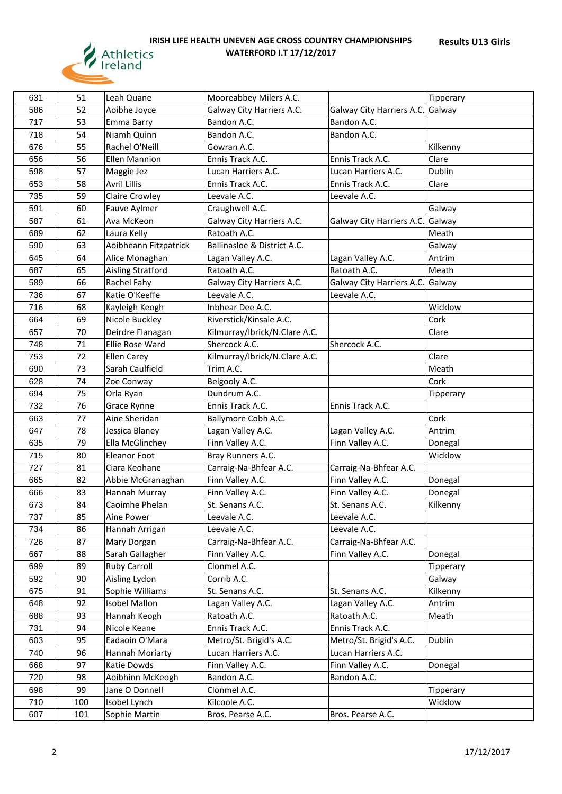

| 631 | 51  | Leah Quane                       | Mooreabbey Milers A.C.                 |                                        | Tipperary            |
|-----|-----|----------------------------------|----------------------------------------|----------------------------------------|----------------------|
| 586 | 52  | Aoibhe Joyce                     | Galway City Harriers A.C.              | Galway City Harriers A.C. Galway       |                      |
| 717 | 53  | Emma Barry                       | Bandon A.C.                            | Bandon A.C.                            |                      |
| 718 | 54  | Niamh Quinn                      | Bandon A.C.                            | Bandon A.C.                            |                      |
| 676 | 55  | Rachel O'Neill                   | Gowran A.C.                            |                                        | Kilkenny             |
| 656 | 56  | <b>Ellen Mannion</b>             | Ennis Track A.C.                       | Ennis Track A.C.                       | Clare                |
| 598 | 57  | Maggie Jez                       | Lucan Harriers A.C.                    | Lucan Harriers A.C.                    | Dublin               |
| 653 | 58  | <b>Avril Lillis</b>              | Ennis Track A.C.                       | Ennis Track A.C.                       | Clare                |
| 735 | 59  | <b>Claire Crowley</b>            | Leevale A.C.                           | Leevale A.C.                           |                      |
| 591 | 60  | Fauve Aylmer                     | Craughwell A.C.                        |                                        | Galway               |
| 587 | 61  | Ava McKeon                       | Galway City Harriers A.C.              | Galway City Harriers A.C. Galway       |                      |
| 689 | 62  | Laura Kelly                      | Ratoath A.C.                           |                                        | Meath                |
| 590 | 63  | Aoibheann Fitzpatrick            | Ballinasloe & District A.C.            |                                        | Galway               |
| 645 | 64  | Alice Monaghan                   | Lagan Valley A.C.                      | Lagan Valley A.C.                      | Antrim               |
| 687 | 65  | <b>Aisling Stratford</b>         | Ratoath A.C.                           | Ratoath A.C.                           | Meath                |
| 589 | 66  | Rachel Fahy                      | Galway City Harriers A.C.              | Galway City Harriers A.C. Galway       |                      |
| 736 | 67  | Katie O'Keeffe                   | Leevale A.C.                           | Leevale A.C.                           |                      |
| 716 | 68  | Kayleigh Keogh                   | Inbhear Dee A.C.                       |                                        | Wicklow              |
| 664 | 69  | Nicole Buckley                   | Riverstick/Kinsale A.C.                |                                        | Cork                 |
| 657 | 70  | Deirdre Flanagan                 | Kilmurray/Ibrick/N.Clare A.C.          |                                        | Clare                |
| 748 | 71  | Ellie Rose Ward                  | Shercock A.C.                          | Shercock A.C.                          |                      |
| 753 | 72  | <b>Ellen Carey</b>               | Kilmurray/Ibrick/N.Clare A.C.          |                                        | Clare                |
| 690 | 73  | Sarah Caulfield                  | Trim A.C.                              |                                        | Meath                |
| 628 | 74  | Zoe Conway                       | Belgooly A.C.                          |                                        | Cork                 |
| 694 | 75  | Orla Ryan                        | Dundrum A.C.                           |                                        | <b>Tipperary</b>     |
| 732 | 76  | Grace Rynne                      | Ennis Track A.C.                       | Ennis Track A.C.                       |                      |
| 663 | 77  | Aine Sheridan                    | Ballymore Cobh A.C.                    |                                        | Cork                 |
| 647 | 78  | Jessica Blaney                   | Lagan Valley A.C.                      | Lagan Valley A.C.                      | Antrim               |
| 635 | 79  | Ella McGlinchey                  | Finn Valley A.C.                       | Finn Valley A.C.                       | Donegal              |
| 715 | 80  | <b>Eleanor Foot</b>              | Bray Runners A.C.                      |                                        | Wicklow              |
| 727 | 81  | Ciara Keohane                    | Carraig-Na-Bhfear A.C.                 | Carraig-Na-Bhfear A.C.                 |                      |
| 665 | 82  | Abbie McGranaghan                | Finn Valley A.C.                       | Finn Valley A.C.                       | Donegal              |
| 666 | 83  | Hannah Murray                    | Finn Valley A.C.                       | Finn Valley A.C.                       | Donegal              |
| 673 | 84  | Caoimhe Phelan                   | St. Senans A.C.                        | St. Senans A.C.                        |                      |
| 737 | 85  | Aine Power                       | Leevale A.C.                           | Leevale A.C.                           | Kilkenny             |
| 734 | 86  |                                  |                                        |                                        |                      |
| 726 | 87  | Hannah Arrigan<br>Mary Dorgan    | Leevale A.C.<br>Carraig-Na-Bhfear A.C. | Leevale A.C.<br>Carraig-Na-Bhfear A.C. |                      |
| 667 | 88  | Sarah Gallagher                  | Finn Valley A.C.                       | Finn Valley A.C.                       |                      |
| 699 | 89  | <b>Ruby Carroll</b>              | Clonmel A.C.                           |                                        | Donegal<br>Tipperary |
| 592 | 90  | Aisling Lydon                    | Corrib A.C.                            |                                        |                      |
| 675 | 91  |                                  | St. Senans A.C.                        | St. Senans A.C.                        | Galway               |
|     |     | Sophie Williams<br>Isobel Mallon |                                        |                                        | Kilkenny             |
| 648 | 92  |                                  | Lagan Valley A.C.                      | Lagan Valley A.C.                      | Antrim               |
| 688 | 93  | Hannah Keogh                     | Ratoath A.C.                           | Ratoath A.C.                           | Meath                |
| 731 | 94  | Nicole Keane                     | Ennis Track A.C.                       | Ennis Track A.C.                       |                      |
| 603 | 95  | Eadaoin O'Mara                   | Metro/St. Brigid's A.C.                | Metro/St. Brigid's A.C.                | Dublin               |
| 740 | 96  | Hannah Moriarty                  | Lucan Harriers A.C.                    | Lucan Harriers A.C.                    |                      |
| 668 | 97  | Katie Dowds                      | Finn Valley A.C.                       | Finn Valley A.C.                       | Donegal              |
| 720 | 98  | Aoibhinn McKeogh                 | Bandon A.C.                            | Bandon A.C.                            |                      |
| 698 | 99  | Jane O Donnell                   | Clonmel A.C.                           |                                        | Tipperary            |
| 710 | 100 | Isobel Lynch                     | Kilcoole A.C.                          |                                        | Wicklow              |
| 607 | 101 | Sophie Martin                    | Bros. Pearse A.C.                      | Bros. Pearse A.C.                      |                      |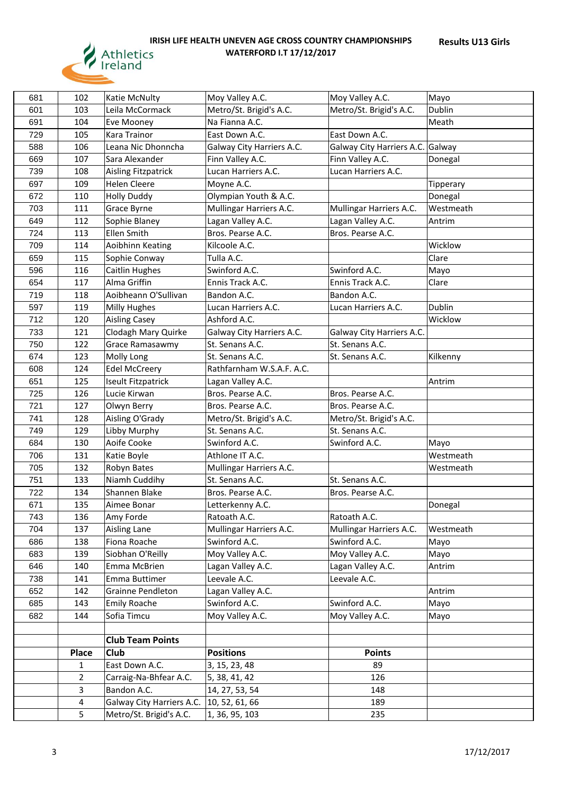

| 681 | 102          | Katie McNulty             | Moy Valley A.C.           | Moy Valley A.C.                  | Mayo      |
|-----|--------------|---------------------------|---------------------------|----------------------------------|-----------|
| 601 | 103          | Leila McCormack           | Metro/St. Brigid's A.C.   | Metro/St. Brigid's A.C.          | Dublin    |
| 691 | 104          | Eve Mooney                | Na Fianna A.C.            |                                  | Meath     |
| 729 | 105          | Kara Trainor              | East Down A.C.            | East Down A.C.                   |           |
| 588 | 106          | Leana Nic Dhonncha        | Galway City Harriers A.C. | Galway City Harriers A.C. Galway |           |
| 669 | 107          | Sara Alexander            | Finn Valley A.C.          | Finn Valley A.C.                 | Donegal   |
| 739 | 108          | Aisling Fitzpatrick       | Lucan Harriers A.C.       | Lucan Harriers A.C.              |           |
| 697 | 109          | <b>Helen Cleere</b>       | Moyne A.C.                |                                  | Tipperary |
| 672 | 110          | <b>Holly Duddy</b>        | Olympian Youth & A.C.     |                                  | Donegal   |
| 703 | 111          | Grace Byrne               | Mullingar Harriers A.C.   | Mullingar Harriers A.C.          | Westmeath |
| 649 | 112          | Sophie Blaney             | Lagan Valley A.C.         | Lagan Valley A.C.                | Antrim    |
| 724 | 113          | Ellen Smith               | Bros. Pearse A.C.         | Bros. Pearse A.C.                |           |
| 709 | 114          | Aoibhinn Keating          | Kilcoole A.C.             |                                  | Wicklow   |
| 659 | 115          | Sophie Conway             | Tulla A.C.                |                                  | Clare     |
| 596 | 116          | <b>Caitlin Hughes</b>     | Swinford A.C.             | Swinford A.C.                    | Mayo      |
| 654 | 117          | Alma Griffin              | Ennis Track A.C.          | Ennis Track A.C.                 | Clare     |
| 719 | 118          | Aoibheann O'Sullivan      | Bandon A.C.               | Bandon A.C.                      |           |
| 597 | 119          | <b>Milly Hughes</b>       | Lucan Harriers A.C.       | Lucan Harriers A.C.              | Dublin    |
| 712 | 120          | <b>Aisling Casey</b>      | Ashford A.C.              |                                  | Wicklow   |
| 733 | 121          | Clodagh Mary Quirke       | Galway City Harriers A.C. | Galway City Harriers A.C.        |           |
| 750 | 122          | Grace Ramasawmy           | St. Senans A.C.           | St. Senans A.C.                  |           |
| 674 | 123          | Molly Long                | St. Senans A.C.           | St. Senans A.C.                  | Kilkenny  |
| 608 | 124          | <b>Edel McCreery</b>      | Rathfarnham W.S.A.F. A.C. |                                  |           |
| 651 | 125          | Iseult Fitzpatrick        | Lagan Valley A.C.         |                                  | Antrim    |
| 725 | 126          | Lucie Kirwan              | Bros. Pearse A.C.         | Bros. Pearse A.C.                |           |
| 721 | 127          | Olwyn Berry               | Bros. Pearse A.C.         | Bros. Pearse A.C.                |           |
| 741 | 128          | Aisling O'Grady           | Metro/St. Brigid's A.C.   | Metro/St. Brigid's A.C.          |           |
| 749 | 129          | Libby Murphy              | St. Senans A.C.           | St. Senans A.C.                  |           |
| 684 | 130          | Aoife Cooke               | Swinford A.C.             | Swinford A.C.                    | Mayo      |
| 706 | 131          | Katie Boyle               | Athlone IT A.C.           |                                  | Westmeath |
| 705 | 132          | Robyn Bates               | Mullingar Harriers A.C.   |                                  | Westmeath |
| 751 | 133          | Niamh Cuddihy             | St. Senans A.C.           | St. Senans A.C.                  |           |
| 722 | 134          | Shannen Blake             | Bros. Pearse A.C.         | Bros. Pearse A.C.                |           |
| 671 | 135          | Aimee Bonar               | Letterkenny A.C.          |                                  | Donegal   |
| 743 | 136          | Amy Forde                 | Ratoath A.C.              | Ratoath A.C.                     |           |
| 704 | 137          | <b>Aisling Lane</b>       | Mullingar Harriers A.C.   | Mullingar Harriers A.C.          | Westmeath |
| 686 | 138          | Fiona Roache              | Swinford A.C.             | Swinford A.C.                    | Mayo      |
| 683 | 139          | Siobhan O'Reilly          | Moy Valley A.C.           | Moy Valley A.C.                  | Mayo      |
| 646 | 140          | Emma McBrien              | Lagan Valley A.C.         | Lagan Valley A.C.                | Antrim    |
| 738 | 141          | Emma Buttimer             | Leevale A.C.              | Leevale A.C.                     |           |
| 652 | 142          | Grainne Pendleton         | Lagan Valley A.C.         |                                  | Antrim    |
| 685 | 143          | <b>Emily Roache</b>       | Swinford A.C.             | Swinford A.C.                    | Mayo      |
| 682 | 144          | Sofia Timcu               | Moy Valley A.C.           | Moy Valley A.C.                  | Mayo      |
|     |              |                           |                           |                                  |           |
|     |              | <b>Club Team Points</b>   |                           |                                  |           |
|     | Place        | Club                      | <b>Positions</b>          | <b>Points</b>                    |           |
|     | $\mathbf{1}$ | East Down A.C.            | 3, 15, 23, 48             | 89                               |           |
|     | 2            | Carraig-Na-Bhfear A.C.    | 5, 38, 41, 42             | 126                              |           |
|     | 3            | Bandon A.C.               | 14, 27, 53, 54            | 148                              |           |
|     | 4            | Galway City Harriers A.C. | 10, 52, 61, 66            | 189                              |           |
|     | 5            | Metro/St. Brigid's A.C.   | 1, 36, 95, 103            | 235                              |           |